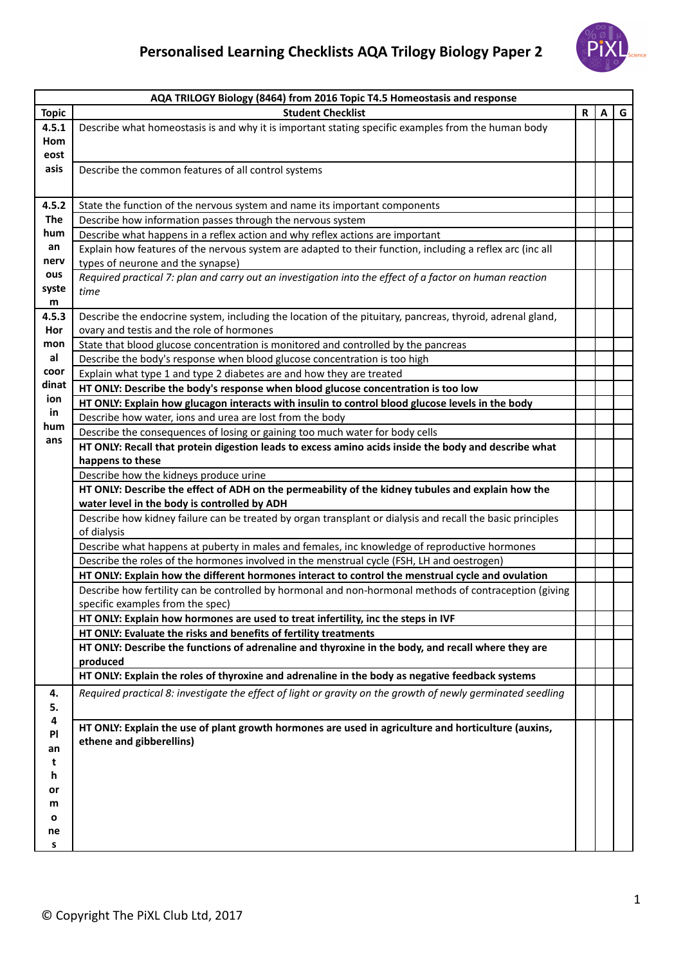

| AQA TRILOGY Biology (8464) from 2016 Topic T4.5 Homeostasis and response |                                                                                                             |   |   |   |  |  |  |  |
|--------------------------------------------------------------------------|-------------------------------------------------------------------------------------------------------------|---|---|---|--|--|--|--|
| <b>Topic</b>                                                             | <b>Student Checklist</b>                                                                                    | R | A | G |  |  |  |  |
| 4.5.1                                                                    | Describe what homeostasis is and why it is important stating specific examples from the human body          |   |   |   |  |  |  |  |
| Hom                                                                      |                                                                                                             |   |   |   |  |  |  |  |
| eost                                                                     |                                                                                                             |   |   |   |  |  |  |  |
| asis                                                                     | Describe the common features of all control systems                                                         |   |   |   |  |  |  |  |
|                                                                          |                                                                                                             |   |   |   |  |  |  |  |
| 4.5.2                                                                    | State the function of the nervous system and name its important components                                  |   |   |   |  |  |  |  |
| <b>The</b>                                                               | Describe how information passes through the nervous system                                                  |   |   |   |  |  |  |  |
| hum                                                                      | Describe what happens in a reflex action and why reflex actions are important                               |   |   |   |  |  |  |  |
| an                                                                       | Explain how features of the nervous system are adapted to their function, including a reflex arc (inc all   |   |   |   |  |  |  |  |
| nerv                                                                     | types of neurone and the synapse)                                                                           |   |   |   |  |  |  |  |
| ous                                                                      | Required practical 7: plan and carry out an investigation into the effect of a factor on human reaction     |   |   |   |  |  |  |  |
| syste                                                                    | time                                                                                                        |   |   |   |  |  |  |  |
| m                                                                        |                                                                                                             |   |   |   |  |  |  |  |
| 4.5.3                                                                    | Describe the endocrine system, including the location of the pituitary, pancreas, thyroid, adrenal gland,   |   |   |   |  |  |  |  |
| Hor                                                                      | ovary and testis and the role of hormones                                                                   |   |   |   |  |  |  |  |
| mon                                                                      | State that blood glucose concentration is monitored and controlled by the pancreas                          |   |   |   |  |  |  |  |
| al                                                                       | Describe the body's response when blood glucose concentration is too high                                   |   |   |   |  |  |  |  |
| coor                                                                     | Explain what type 1 and type 2 diabetes are and how they are treated                                        |   |   |   |  |  |  |  |
| dinat                                                                    | HT ONLY: Describe the body's response when blood glucose concentration is too low                           |   |   |   |  |  |  |  |
| ion                                                                      | HT ONLY: Explain how glucagon interacts with insulin to control blood glucose levels in the body            |   |   |   |  |  |  |  |
| in                                                                       | Describe how water, ions and urea are lost from the body                                                    |   |   |   |  |  |  |  |
| hum                                                                      | Describe the consequences of losing or gaining too much water for body cells                                |   |   |   |  |  |  |  |
| ans                                                                      | HT ONLY: Recall that protein digestion leads to excess amino acids inside the body and describe what        |   |   |   |  |  |  |  |
|                                                                          | happens to these                                                                                            |   |   |   |  |  |  |  |
|                                                                          | Describe how the kidneys produce urine                                                                      |   |   |   |  |  |  |  |
|                                                                          | HT ONLY: Describe the effect of ADH on the permeability of the kidney tubules and explain how the           |   |   |   |  |  |  |  |
|                                                                          | water level in the body is controlled by ADH                                                                |   |   |   |  |  |  |  |
|                                                                          | Describe how kidney failure can be treated by organ transplant or dialysis and recall the basic principles  |   |   |   |  |  |  |  |
|                                                                          | of dialysis                                                                                                 |   |   |   |  |  |  |  |
|                                                                          | Describe what happens at puberty in males and females, inc knowledge of reproductive hormones               |   |   |   |  |  |  |  |
|                                                                          | Describe the roles of the hormones involved in the menstrual cycle (FSH, LH and oestrogen)                  |   |   |   |  |  |  |  |
|                                                                          | HT ONLY: Explain how the different hormones interact to control the menstrual cycle and ovulation           |   |   |   |  |  |  |  |
|                                                                          | Describe how fertility can be controlled by hormonal and non-hormonal methods of contraception (giving      |   |   |   |  |  |  |  |
|                                                                          | specific examples from the spec)                                                                            |   |   |   |  |  |  |  |
|                                                                          | HT ONLY: Explain how hormones are used to treat infertility, inc the steps in IVF                           |   |   |   |  |  |  |  |
|                                                                          | HT ONLY: Evaluate the risks and benefits of fertility treatments                                            |   |   |   |  |  |  |  |
|                                                                          | HT ONLY: Describe the functions of adrenaline and thyroxine in the body, and recall where they are          |   |   |   |  |  |  |  |
|                                                                          | produced                                                                                                    |   |   |   |  |  |  |  |
|                                                                          | HT ONLY: Explain the roles of thyroxine and adrenaline in the body as negative feedback systems             |   |   |   |  |  |  |  |
| 4.                                                                       | Required practical 8: investigate the effect of light or gravity on the growth of newly germinated seedling |   |   |   |  |  |  |  |
| 5.                                                                       |                                                                                                             |   |   |   |  |  |  |  |
| 4<br>PI                                                                  | HT ONLY: Explain the use of plant growth hormones are used in agriculture and horticulture (auxins,         |   |   |   |  |  |  |  |
|                                                                          | ethene and gibberellins)                                                                                    |   |   |   |  |  |  |  |
| an<br>t                                                                  |                                                                                                             |   |   |   |  |  |  |  |
| h                                                                        |                                                                                                             |   |   |   |  |  |  |  |
| or                                                                       |                                                                                                             |   |   |   |  |  |  |  |
| m                                                                        |                                                                                                             |   |   |   |  |  |  |  |
| O                                                                        |                                                                                                             |   |   |   |  |  |  |  |
| ne                                                                       |                                                                                                             |   |   |   |  |  |  |  |
| s                                                                        |                                                                                                             |   |   |   |  |  |  |  |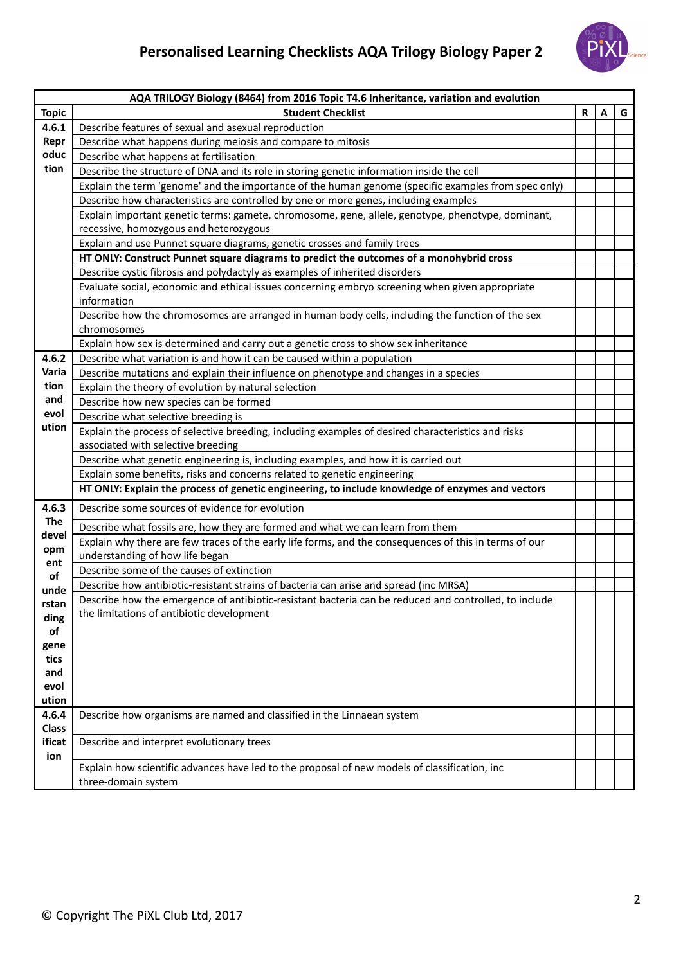## **Personalised Learning Checklists AQA Trilogy Biology Paper 2**



|              | AQA TRILOGY Biology (8464) from 2016 Topic T4.6 Inheritance, variation and evolution                   |   |   |   |  |  |  |  |  |
|--------------|--------------------------------------------------------------------------------------------------------|---|---|---|--|--|--|--|--|
| <b>Topic</b> | <b>Student Checklist</b>                                                                               | R | A | G |  |  |  |  |  |
| 4.6.1        | Describe features of sexual and asexual reproduction                                                   |   |   |   |  |  |  |  |  |
| Repr         | Describe what happens during meiosis and compare to mitosis                                            |   |   |   |  |  |  |  |  |
| oduc         | Describe what happens at fertilisation                                                                 |   |   |   |  |  |  |  |  |
| tion         | Describe the structure of DNA and its role in storing genetic information inside the cell              |   |   |   |  |  |  |  |  |
|              | Explain the term 'genome' and the importance of the human genome (specific examples from spec only)    |   |   |   |  |  |  |  |  |
|              | Describe how characteristics are controlled by one or more genes, including examples                   |   |   |   |  |  |  |  |  |
|              | Explain important genetic terms: gamete, chromosome, gene, allele, genotype, phenotype, dominant,      |   |   |   |  |  |  |  |  |
|              | recessive, homozygous and heterozygous                                                                 |   |   |   |  |  |  |  |  |
|              | Explain and use Punnet square diagrams, genetic crosses and family trees                               |   |   |   |  |  |  |  |  |
|              | HT ONLY: Construct Punnet square diagrams to predict the outcomes of a monohybrid cross                |   |   |   |  |  |  |  |  |
|              | Describe cystic fibrosis and polydactyly as examples of inherited disorders                            |   |   |   |  |  |  |  |  |
|              | Evaluate social, economic and ethical issues concerning embryo screening when given appropriate        |   |   |   |  |  |  |  |  |
|              | information                                                                                            |   |   |   |  |  |  |  |  |
|              | Describe how the chromosomes are arranged in human body cells, including the function of the sex       |   |   |   |  |  |  |  |  |
|              | chromosomes                                                                                            |   |   |   |  |  |  |  |  |
|              | Explain how sex is determined and carry out a genetic cross to show sex inheritance                    |   |   |   |  |  |  |  |  |
| 4.6.2        | Describe what variation is and how it can be caused within a population                                |   |   |   |  |  |  |  |  |
| Varia        | Describe mutations and explain their influence on phenotype and changes in a species                   |   |   |   |  |  |  |  |  |
| tion         | Explain the theory of evolution by natural selection                                                   |   |   |   |  |  |  |  |  |
| and          | Describe how new species can be formed                                                                 |   |   |   |  |  |  |  |  |
| evol         | Describe what selective breeding is                                                                    |   |   |   |  |  |  |  |  |
| ution        | Explain the process of selective breeding, including examples of desired characteristics and risks     |   |   |   |  |  |  |  |  |
|              | associated with selective breeding                                                                     |   |   |   |  |  |  |  |  |
|              | Describe what genetic engineering is, including examples, and how it is carried out                    |   |   |   |  |  |  |  |  |
|              | Explain some benefits, risks and concerns related to genetic engineering                               |   |   |   |  |  |  |  |  |
|              | HT ONLY: Explain the process of genetic engineering, to include knowledge of enzymes and vectors       |   |   |   |  |  |  |  |  |
| 4.6.3        | Describe some sources of evidence for evolution                                                        |   |   |   |  |  |  |  |  |
| <b>The</b>   | Describe what fossils are, how they are formed and what we can learn from them                         |   |   |   |  |  |  |  |  |
| devel        | Explain why there are few traces of the early life forms, and the consequences of this in terms of our |   |   |   |  |  |  |  |  |
| opm          | understanding of how life began                                                                        |   |   |   |  |  |  |  |  |
| ent<br>of    | Describe some of the causes of extinction                                                              |   |   |   |  |  |  |  |  |
| unde         | Describe how antibiotic-resistant strains of bacteria can arise and spread (inc MRSA)                  |   |   |   |  |  |  |  |  |
| rstan        | Describe how the emergence of antibiotic-resistant bacteria can be reduced and controlled, to include  |   |   |   |  |  |  |  |  |
| ding         | the limitations of antibiotic development                                                              |   |   |   |  |  |  |  |  |
| of           |                                                                                                        |   |   |   |  |  |  |  |  |
| gene         |                                                                                                        |   |   |   |  |  |  |  |  |
| tics         |                                                                                                        |   |   |   |  |  |  |  |  |
| and          |                                                                                                        |   |   |   |  |  |  |  |  |
| evol         |                                                                                                        |   |   |   |  |  |  |  |  |
| ution        |                                                                                                        |   |   |   |  |  |  |  |  |
| 4.6.4        | Describe how organisms are named and classified in the Linnaean system                                 |   |   |   |  |  |  |  |  |
| <b>Class</b> |                                                                                                        |   |   |   |  |  |  |  |  |
| ificat       | Describe and interpret evolutionary trees                                                              |   |   |   |  |  |  |  |  |
| ion          |                                                                                                        |   |   |   |  |  |  |  |  |
|              | Explain how scientific advances have led to the proposal of new models of classification, inc          |   |   |   |  |  |  |  |  |
|              | three-domain system                                                                                    |   |   |   |  |  |  |  |  |